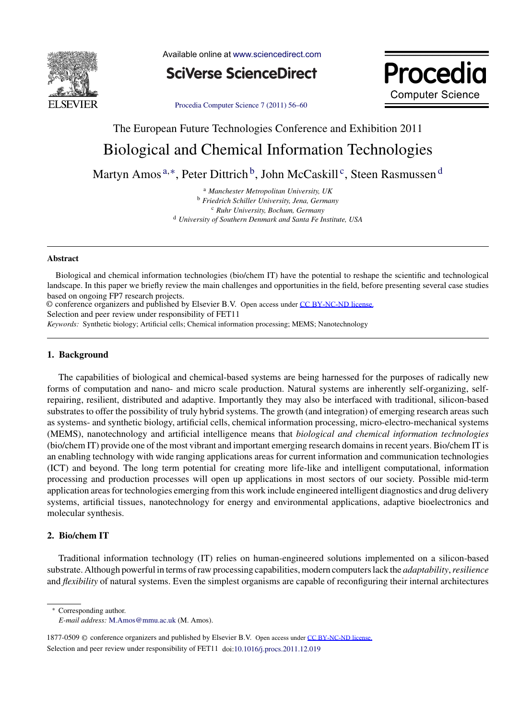

Available online at [www.sciencedirect.com](http://www.sciencedirect.com/science/journal/18770509)

**SciVerse ScienceDirect** 



[Procedia Computer Science 7 \(2011\) 56–60](dx.doi.org/10.1016/j.procs.2011.12.019)

# The European Future Technologies Conference and Exhibition 2011 Biological and Chemical Information Technologies

Martyn Amos<sup>a,\*</sup>, Peter Dittrich<sup>b</sup>, John McCaskill<sup>c</sup>, Steen Rasmussen<sup>d</sup>

<sup>a</sup> *Manchester Metropolitan University, UK* <sup>b</sup> *Friedrich Schiller University, Jena, Germany* <sup>c</sup> *Ruhr University, Bochum, Germany* <sup>d</sup> *University of Southern Denmark and Santa Fe Institute, USA*

#### **Abstract**

Biological and chemical information technologies (bio/chem IT) have the potential to reshape the scientific and technological landscape. In this paper we briefly review the main challenges and opportunities in the field, before presenting several case studies based on ongoing FP7 research projects.

© conference organizers and published by Elsevier B.V. Open access under [CC BY-NC-ND license.](http://creativecommons.org/licenses/by-nc-nd/3.0/)

Selection and peer review under responsibility of FET11

*Keywords:* Synthetic biology; Artificial cells; Chemical information processing; MEMS; Nanotechnology

#### **1. Background**

The capabilities of biological and chemical-based systems are being harnessed for the purposes of radically new forms of computation and nano- and micro scale production. Natural systems are inherently self-organizing, selfrepairing, resilient, distributed and adaptive. Importantly they may also be interfaced with traditional, silicon-based substrates to offer the possibility of truly hybrid systems. The growth (and integration) of emerging research areas such as systems- and synthetic biology, artificial cells, chemical information processing, micro-electro-mechanical systems (MEMS), nanotechnology and artificial intelligence means that *biological and chemical information technologies* (bio/chem IT) provide one of the most vibrant and important emerging research domains in recent years. Bio/chem IT is an enabling technology with wide ranging applications areas for current information and communication technologies (ICT) and beyond. The long term potential for creating more life-like and intelligent computational, information processing and production processes will open up applications in most sectors of our society. Possible mid-term application areas for technologies emerging from this work include engineered intelligent diagnostics and drug delivery systems, artificial tissues, nanotechnology for energy and environmental applications, adaptive bioelectronics and molecular synthesis.

## **2. Bio/chem IT**

Traditional information technology (IT) relies on human-engineered solutions implemented on a silicon-based substrate. Although powerful in terms of raw processing capabilities, modern computers lack the *adaptability*,*resilience* and *flexibility* of natural systems. Even the simplest organisms are capable of reconfiguring their internal architectures

Corresponding author.

Selection and peer review under responsibility of FET11 doi:10.1016/j.procs.2011.12.019 1877-0509 © conference organizers and published by Elsevier B.V. Open access under [CC BY-NC-ND license.](http://creativecommons.org/licenses/by-nc-nd/3.0/)

*E-mail address:* [M.Amos@mmu.ac.uk](mailto:M.Amos@mmu.ac.uk) (M. Amos).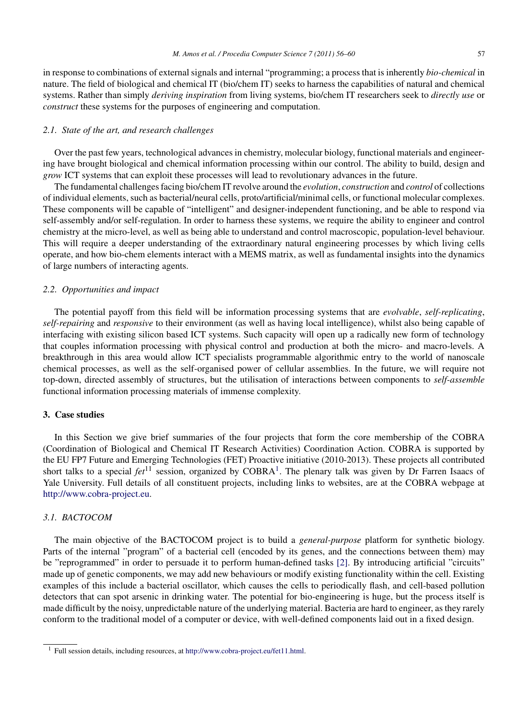in response to combinations of external signals and internal "programming; a process that is inherently *bio-chemical* in nature. The field of biological and chemical IT (bio/chem IT) seeks to harness the capabilities of natural and chemical systems. Rather than simply *deriving inspiration* from living systems, bio/chem IT researchers seek to *directly use* or *construct* these systems for the purposes of engineering and computation.

#### *2.1. State of the art, and research challenges*

Over the past few years, technological advances in chemistry, molecular biology, functional materials and engineering have brought biological and chemical information processing within our control. The ability to build, design and *grow* ICT systems that can exploit these processes will lead to revolutionary advances in the future.

The fundamental challenges facing bio/chem IT revolve around the *evolution*, *construction* and *control* of collections of individual elements, such as bacterial/neural cells, proto/artificial/minimal cells, or functional molecular complexes. These components will be capable of "intelligent" and designer-independent functioning, and be able to respond via self-assembly and/or self-regulation. In order to harness these systems, we require the ability to engineer and control chemistry at the micro-level, as well as being able to understand and control macroscopic, population-level behaviour. This will require a deeper understanding of the extraordinary natural engineering processes by which living cells operate, and how bio-chem elements interact with a MEMS matrix, as well as fundamental insights into the dynamics of large numbers of interacting agents.

## *2.2. Opportunities and impact*

The potential payoff from this field will be information processing systems that are *evolvable*, *self-replicating*, *self-repairing* and *responsive* to their environment (as well as having local intelligence), whilst also being capable of interfacing with existing silicon based ICT systems. Such capacity will open up a radically new form of technology that couples information processing with physical control and production at both the micro- and macro-levels. A breakthrough in this area would allow ICT specialists programmable algorithmic entry to the world of nanoscale chemical processes, as well as the self-organised power of cellular assemblies. In the future, we will require not top-down, directed assembly of structures, but the utilisation of interactions between components to *self-assemble* functional information processing materials of immense complexity.

## **3. Case studies**

In this Section we give brief summaries of the four projects that form the core membership of the COBRA (Coordination of Biological and Chemical IT Research Activities) Coordination Action. COBRA is supported by the EU FP7 Future and Emerging Technologies (FET) Proactive initiative (2010-2013). These projects all contributed short talks to a special *fet*<sup>11</sup> session, organized by COBRA<sup>1</sup>. The plenary talk was given by Dr Farren Isaacs of Yale University. Full details of all constituent projects, including links to websites, are at the COBRA webpage at <http://www.cobra-project.eu>.

## *3.1. BACTOCOM*

The main objective of the BACTOCOM project is to build a *general-purpose* platform for synthetic biology. Parts of the internal "program" of a bacterial cell (encoded by its genes, and the connections between them) may be "reprogrammed" in order to persuade it to perform human-defined tasks [\[2\].](#page-3-0) By introducing artificial "circuits" made up of genetic components, we may add new behaviours or modify existing functionality within the cell. Existing examples of this include a bacterial oscillator, which causes the cells to periodically flash, and cell-based pollution detectors that can spot arsenic in drinking water. The potential for bio-engineering is huge, but the process itself is made difficult by the noisy, unpredictable nature of the underlying material. Bacteria are hard to engineer, as they rarely conform to the traditional model of a computer or device, with well-defined components laid out in a fixed design.

<sup>1</sup> Full session details, including resources, at <http://www.cobra-project.eu/fet11.html>.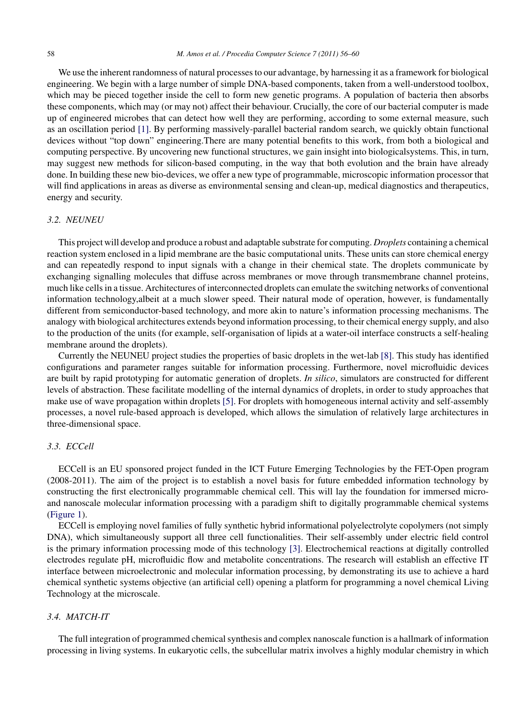We use the inherent randomness of natural processes to our advantage, by harnessing it as a framework for biological engineering. We begin with a large number of simple DNA-based components, taken from a well-understood toolbox, which may be pieced together inside the cell to form new genetic programs. A population of bacteria then absorbs these components, which may (or may not) affect their behaviour. Crucially, the core of our bacterial computer is made up of engineered microbes that can detect how well they are performing, according to some external measure, such as an oscillation period [\[1\]. B](#page-3-0)y performing massively-parallel bacterial random search, we quickly obtain functional devices without "top down" engineering.There are many potential benefits to this work, from both a biological and computing perspective. By uncovering new functional structures, we gain insight into biologicalsystems. This, in turn, may suggest new methods for silicon-based computing, in the way that both evolution and the brain have already done. In building these new bio-devices, we offer a new type of programmable, microscopic information processor that will find applications in areas as diverse as environmental sensing and clean-up, medical diagnostics and therapeutics, energy and security.

## *3.2. NEUNEU*

This project will develop and produce a robust and adaptable substrate for computing. *Droplets* containing a chemical reaction system enclosed in a lipid membrane are the basic computational units. These units can store chemical energy and can repeatedly respond to input signals with a change in their chemical state. The droplets communicate by exchanging signalling molecules that diffuse across membranes or move through transmembrane channel proteins, much like cells in a tissue. Architectures of interconnected droplets can emulate the switching networks of conventional information technology,albeit at a much slower speed. Their natural mode of operation, however, is fundamentally different from semiconductor-based technology, and more akin to nature's information processing mechanisms. The analogy with biological architectures extends beyond information processing, to their chemical energy supply, and also to the production of the units (for example, self-organisation of lipids at a water-oil interface constructs a self-healing membrane around the droplets).

Currently the NEUNEU project studies the properties of basic droplets in the wet-lab [\[8\].](#page-4-0) This study has identified configurations and parameter ranges suitable for information processing. Furthermore, novel microfluidic devices are built by rapid prototyping for automatic generation of droplets. *In silico*, simulators are constructed for different levels of abstraction. These facilitate modelling of the internal dynamics of droplets, in order to study approaches that make use of wave propagation within droplets [\[5\]. F](#page-3-0)or droplets with homogeneous internal activity and self-assembly processes, a novel rule-based approach is developed, which allows the simulation of relatively large architectures in three-dimensional space.

## *3.3. ECCell*

ECCell is an EU sponsored project funded in the ICT Future Emerging Technologies by the FET-Open program (2008-2011). The aim of the project is to establish a novel basis for future embedded information technology by constructing the first electronically programmable chemical cell. This will lay the foundation for immersed microand nanoscale molecular information processing with a paradigm shift to digitally programmable chemical systems ([Figure 1\).](#page-3-0)

ECCell is employing novel families of fully synthetic hybrid informational polyelectrolyte copolymers (not simply DNA), which simultaneously support all three cell functionalities. Their self-assembly under electric field control is the primary information processing mode of this technology [\[3\].](#page-3-0) Electrochemical reactions at digitally controlled electrodes regulate pH, microfluidic flow and metabolite concentrations. The research will establish an effective IT interface between microelectronic and molecular information processing, by demonstrating its use to achieve a hard chemical synthetic systems objective (an artificial cell) opening a platform for programming a novel chemical Living Technology at the microscale.

#### *3.4. MATCH-IT*

The full integration of programmed chemical synthesis and complex nanoscale function is a hallmark of information processing in living systems. In eukaryotic cells, the subcellular matrix involves a highly modular chemistry in which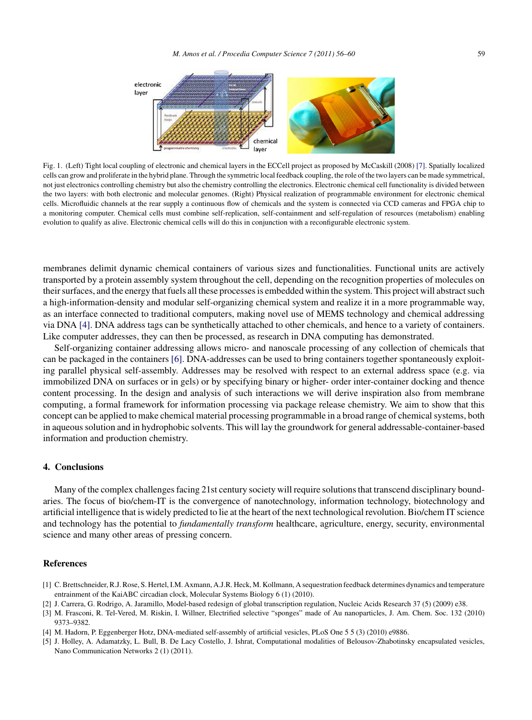<span id="page-3-0"></span>

Fig. 1. (Left) Tight local coupling of electronic and chemical layers in the ECCell project as proposed by McCaskill (2008) [\[7\]. S](#page-4-0)patially localized cells can grow and proliferate in the hybrid plane. Through the symmetric local feedback coupling, the role of the two layers can be made symmetrical, not just electronics controlling chemistry but also the chemistry controlling the electronics. Electronic chemical cell functionality is divided between the two layers: with both electronic and molecular genomes. (Right) Physical realization of programmable environment for electronic chemical cells. Microfluidic channels at the rear supply a continuous flow of chemicals and the system is connected via CCD cameras and FPGA chip to a monitoring computer. Chemical cells must combine self-replication, self-containment and self-regulation of resources (metabolism) enabling evolution to qualify as alive. Electronic chemical cells will do this in conjunction with a reconfigurable electronic system.

membranes delimit dynamic chemical containers of various sizes and functionalities. Functional units are actively transported by a protein assembly system throughout the cell, depending on the recognition properties of molecules on their surfaces, and the energy that fuels all these processes is embedded within the system. This project will abstract such a high-information-density and modular self-organizing chemical system and realize it in a more programmable way, as an interface connected to traditional computers, making novel use of MEMS technology and chemical addressing via DNA [4]. DNA address tags can be synthetically attached to other chemicals, and hence to a variety of containers. Like computer addresses, they can then be processed, as research in DNA computing has demonstrated.

Self-organizing container addressing allows micro- and nanoscale processing of any collection of chemicals that can be packaged in the containers [\[6\]. D](#page-4-0)NA-addresses can be used to bring containers together spontaneously exploiting parallel physical self-assembly. Addresses may be resolved with respect to an external address space (e.g. via immobilized DNA on surfaces or in gels) or by specifying binary or higher- order inter-container docking and thence content processing. In the design and analysis of such interactions we will derive inspiration also from membrane computing, a formal framework for information processing via package release chemistry. We aim to show that this concept can be applied to make chemical material processing programmable in a broad range of chemical systems, both in aqueous solution and in hydrophobic solvents. This will lay the groundwork for general addressable-container-based information and production chemistry.

#### **4. Conclusions**

Many of the complex challenges facing 21st century society will require solutions that transcend disciplinary boundaries. The focus of bio/chem-IT is the convergence of nanotechnology, information technology, biotechnology and artificial intelligence that is widely predicted to lie at the heart of the next technological revolution. Bio/chem IT science and technology has the potential to *fundamentally transform* healthcare, agriculture, energy, security, environmental science and many other areas of pressing concern.

## **References**

- [1] C. Brettschneider, R.J. Rose, S. Hertel, I.M. Axmann, A.J.R. Heck, M. Kollmann, A sequestration feedback determines dynamics and temperature entrainment of the KaiABC circadian clock, Molecular Systems Biology 6 (1) (2010).
- [2] J. Carrera, G. Rodrigo, A. Jaramillo, Model-based redesign of global transcription regulation, Nucleic Acids Research 37 (5) (2009) e38.
- [3] M. Frasconi, R. Tel-Vered, M. Riskin, I. Willner, Electrified selective "sponges" made of Au nanoparticles, J. Am. Chem. Soc. 132 (2010) 9373–9382.
- [4] M. Hadorn, P. Eggenberger Hotz, DNA-mediated self-assembly of artificial vesicles, PLoS One 5 5 (3) (2010) e9886.

[5] J. Holley, A. Adamatzky, L. Bull, B. De Lacy Costello, J. Ishrat, Computational modalities of Belousov-Zhabotinsky encapsulated vesicles, Nano Communication Networks 2 (1) (2011).